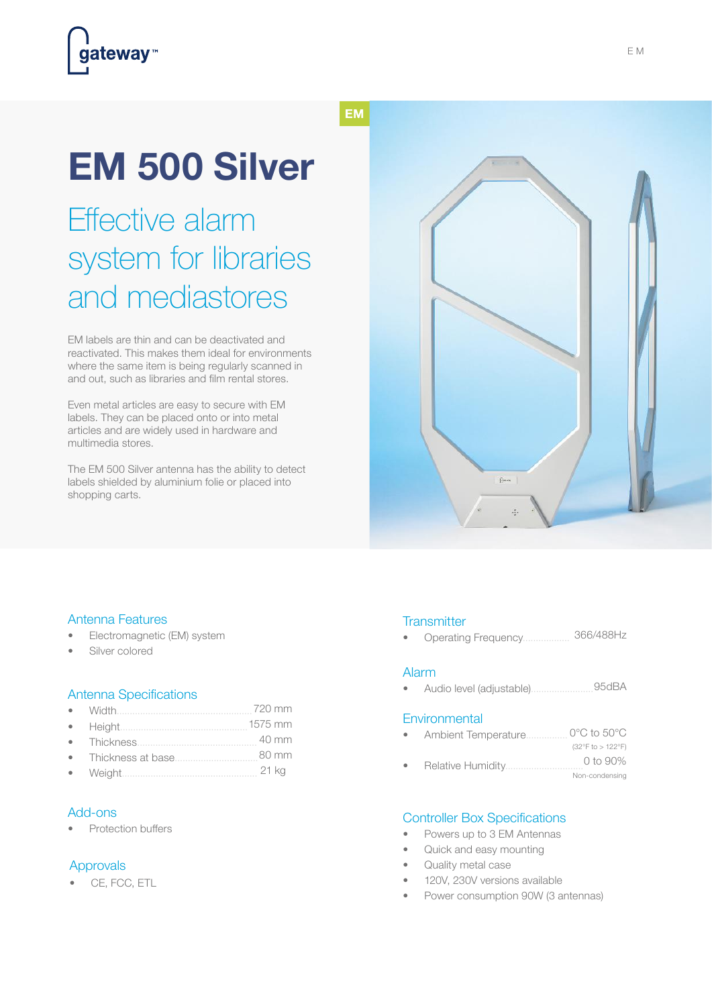# **EM 500 Silver**

## Effective alarm system for libraries and mediastores

EM labels are thin and can be deactivated and reactivated. This makes them ideal for environments where the same item is being regularly scanned in and out, such as libraries and film rental stores.

Even metal articles are easy to secure with EM labels. They can be placed onto or into metal articles and are widely used in hardware and multimedia stores.

The EM 500 Silver antenna has the ability to detect labels shielded by aluminium folie or placed into shopping carts.



### Antenna Features

- Electromagnetic (EM) system
- Silver colored

#### Antenna Specifications

- Width.................................................... 720 mm
- Height................................................. 1575 mm
- Thickness.............................................. 40 mm
- Thickness at base................................ 80 mm
- Weight.................................................... 21 kg

#### Add-ons

Protection buffers

### Approvals

• CE, FCC, ETL

#### **Transmitter**

366/488Hz • Operating Frequency..................

#### Alarm

• Audio level (adjustable)..............................95dBA

#### **Environmental**

- Ambient Temperature................ 0°C to 50°C (32°F to > 122°F)
- Relative Humidity.......... Non-condensing 0 to 90%

#### Controller Box Specifications

- Powers up to 3 EM Antennas
- Quick and easy mounting
- Quality metal case
- 120V, 230V versions available
- Power consumption 90W (3 antennas)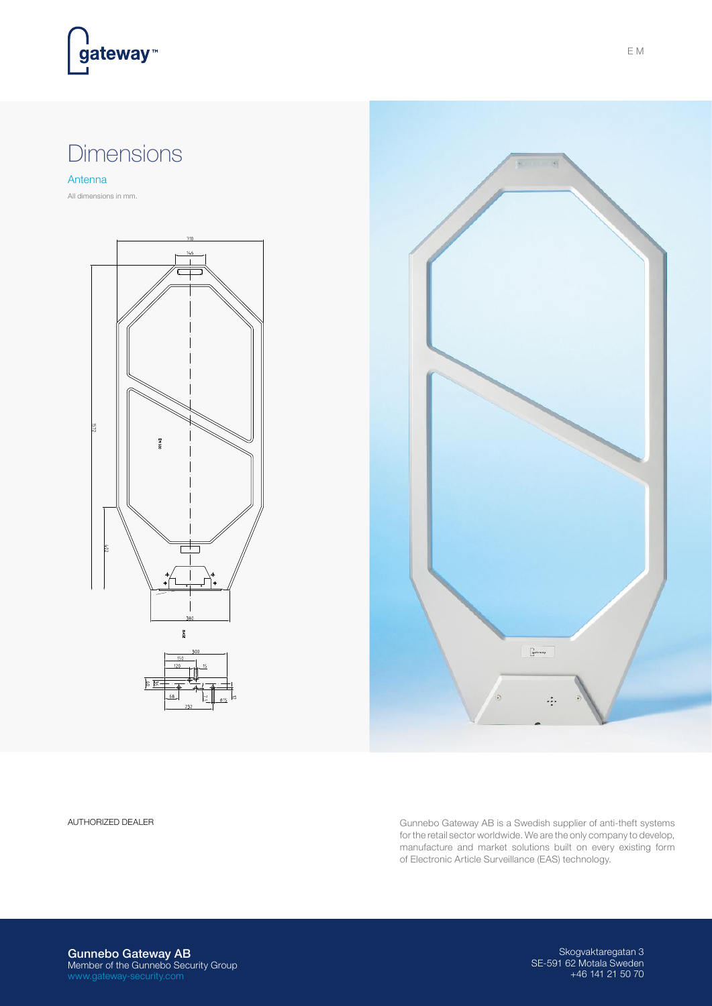

### Dimensions

Antenna

All dimensions in mm.





AUTHORIZED DEALER **Gunnebo Gateway AB** is a Swedish supplier of anti-theft systems for the retail sector worldwide. We are the only company to develop, manufacture and market solutions built on every existing form of Electronic Article Surveillance (EAS) technology.

Gunnebo Gateway AB Member of the Gunnebo Security Group

Skogvaktaregatan 3 SE-591 62 Motala Sweden +46 141 21 50 70